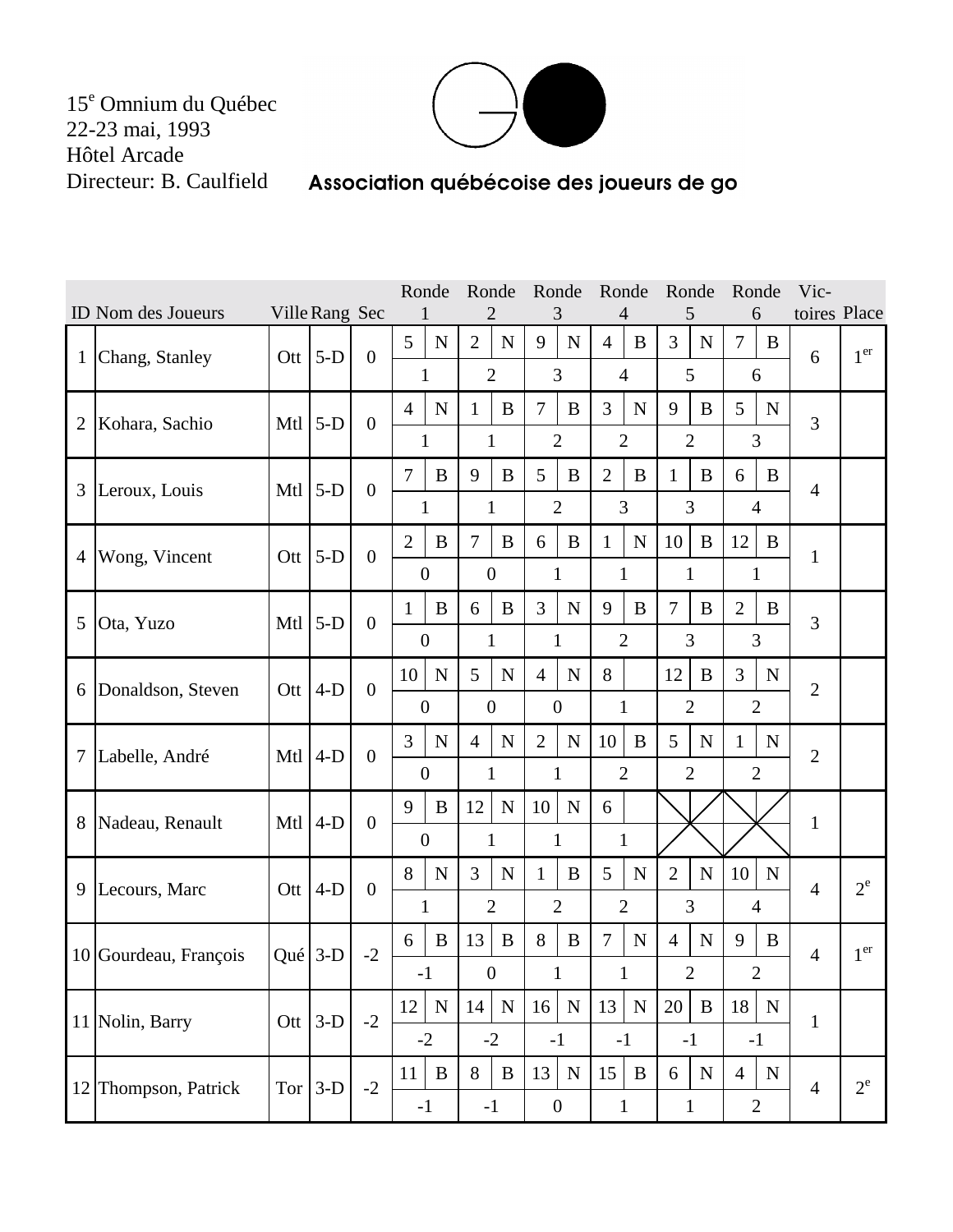15<sup>e</sup> Omnium du Québec 22-23 mai, 1993 Hôtel Arcade Directeur: B. Caulfield



## Association québécoise des joueurs de go

|                |                                      |              |            |                | Ronde            |              | Ronde             |                  | Ronde             |               | Ronde          |              | Ronde          |                | Ronde          |                | Vic-           |                 |
|----------------|--------------------------------------|--------------|------------|----------------|------------------|--------------|-------------------|------------------|-------------------|---------------|----------------|--------------|----------------|----------------|----------------|----------------|----------------|-----------------|
|                | ID Nom des Joueurs<br>Ville Rang Sec |              |            |                |                  | 3            |                   |                  |                   | $\mathcal{L}$ |                | 6            |                | toires Place   |                |                |                |                 |
| $\mathbf{1}$   | Chang, Stanley                       | Ott          | $5-D$      | $\overline{0}$ | 5                | $\mathbf N$  | $\overline{2}$    | ${\bf N}$        | 9                 | ${\bf N}$     | $\overline{4}$ | B            | $\overline{3}$ | $\mathbf N$    | $\overline{7}$ | B              | 6              | 1 <sup>er</sup> |
|                |                                      |              |            |                | $\mathbf{1}$     |              | $\overline{2}$    |                  | 3                 |               | $\overline{4}$ |              | 5              |                | 6              |                |                |                 |
| $\overline{2}$ | Kohara, Sachio                       | Mtl          | $5-D$      | $\overline{0}$ | $\overline{4}$   | $\mathbf N$  | 1                 | B                | $\overline{7}$    | B             | 3              | $\mathbf N$  | 9              | B              | 5              | $\mathbf N$    | 3              |                 |
|                |                                      |              |            |                | 1                |              | 1                 |                  | $\overline{2}$    |               | $\overline{2}$ |              | $\overline{2}$ |                | 3              |                |                |                 |
| 3              | Leroux, Louis                        | Mtl          | $5-D$      | $\overline{0}$ | $\overline{7}$   | $\bf{B}$     | 9                 | B                | 5                 | B             | $\overline{2}$ | B            | $\mathbf{1}$   | B              | 6              | B              | $\overline{4}$ |                 |
|                |                                      |              |            |                | $\mathbf{1}$     |              |                   | $\mathbf{1}$     | $\overline{2}$    |               | 3              |              |                | $\overline{3}$ |                | $\overline{4}$ |                |                 |
| 4              | Wong, Vincent                        | Ott          | $5-D$      | $\overline{0}$ | $\overline{2}$   | $\bf{B}$     | $\overline{7}$    | B                | 6                 | B             | $\mathbf{1}$   | $\mathbf N$  | 10             | $\bf{B}$       | 12             | B              | 1              |                 |
|                |                                      |              |            |                | $\overline{0}$   |              | $\boldsymbol{0}$  |                  | $\mathbf{1}$      |               | $\mathbf{1}$   |              | $\mathbf{1}$   |                | $\mathbf{1}$   |                |                |                 |
| 5              | Ota, Yuzo                            | Mtl          | $5-D$      | $\overline{0}$ | $\mathbf{1}$     | $\bf{B}$     | 6                 | B                | 3                 | $\mathbf N$   | 9              | B            | $\overline{7}$ | B              | $\overline{2}$ | B              | 3              |                 |
|                |                                      |              |            |                | $\mathbf{0}$     |              |                   | $\mathbf{1}$     | $\mathbf{1}$      |               | $\overline{2}$ |              |                | 3              |                | 3              |                |                 |
| 6              | Donaldson, Steven                    |              | Ott $ 4-D$ | $\mathbf{0}$   | 10               | $\mathbf N$  | 5                 | ${\bf N}$        | $\overline{4}$    | ${\bf N}$     | 8              |              | 12             | B              | 3              | $\mathbf N$    | $\overline{2}$ |                 |
|                |                                      |              |            |                | $\overline{0}$   |              | $\boldsymbol{0}$  |                  | $\mathbf{0}$      |               | $\mathbf{1}$   |              |                | $\overline{2}$ |                | $\overline{2}$ |                |                 |
| 7              | Labelle, André                       | Mtl          | $4-D$      | $\overline{0}$ | $\overline{3}$   | ${\bf N}$    | $\overline{4}$    | ${\bf N}$        | $\overline{2}$    | ${\bf N}$     | 10             | $\bf{B}$     | 5              | $\mathbf N$    | $\mathbf{1}$   | $\mathbf N$    | $\overline{2}$ |                 |
|                |                                      |              |            |                | $\mathbf{0}$     |              | $\mathbf{1}$      |                  | 1                 |               | $\overline{2}$ |              | $\overline{2}$ |                | $\overline{2}$ |                |                |                 |
| 8              | Nadeau, Renault                      |              | Mtl $ 4-D$ | $\overline{0}$ | 9<br>B           |              | 12<br>$\mathbf N$ |                  | 10<br>$\mathbf N$ |               | 6              |              |                |                |                |                | $\mathbf{1}$   |                 |
|                |                                      |              |            |                | $\boldsymbol{0}$ |              | $\mathbf{1}$      |                  | $\mathbf{1}$      |               | $\mathbf{1}$   |              |                |                |                |                |                |                 |
| 9              | Lecours, Marc                        | Ott          | $4-D$      | $\theta$       | 8                | $\mathbf N$  | 3                 | ${\bf N}$        | $\mathbf{1}$      | B             | 5              | $\mathbf N$  | $\overline{2}$ | $\mathbf N$    | 10             | $\mathbf N$    | $\overline{4}$ | $2^e$           |
|                |                                      |              |            |                | $\mathbf{1}$     |              | $\overline{2}$    |                  | $\overline{2}$    |               | $\overline{2}$ |              | 3              |                | $\overline{4}$ |                |                |                 |
|                | 10 Gourdeau, François                | Qué $3-D$    |            | $-2$           | 6                | B            | 13                | B                | 8                 | B             | $\overline{7}$ | $\mathbf N$  | $\overline{4}$ | $\mathbf N$    | 9              | B              | $\overline{4}$ | 1 <sup>er</sup> |
|                |                                      |              |            |                | $-1$             |              |                   | $\boldsymbol{0}$ | $\mathbf{1}$      |               | $\mathbf{1}$   |              |                | $\overline{2}$ |                | $\mathbf{2}$   |                |                 |
|                | 11 Nolin, Barry                      | $_{\rm Ott}$ | $3-D$      | $-2$           | 12               | ${\bf N}$    | 14                | ${\bf N}$        | 16                | ${\bf N}$     | 13             | ${\bf N}$    | 20             | $\bf{B}$       | 18             | $\mathbf N$    | $\mathbf{1}$   |                 |
|                |                                      |              |            |                | $-2$             |              |                   | $-2$             | $-1$              |               | $-1$           |              | $-1$           |                | $-1$           |                |                |                 |
|                | 12 Thompson, Patrick                 | Tor $3-D$    |            | $-2$           | 11               | $\, {\bf B}$ | 8                 | $\, {\bf B}$     | 13                | $\mathbf N$   | 15             | $\, {\bf B}$ | 6              | ${\bf N}$      | $\overline{4}$ | ${\bf N}$      | $\overline{4}$ | $2^e$           |
|                |                                      |              |            |                | $-1$             |              | $-1$              |                  | $\boldsymbol{0}$  |               | $\mathbf{1}$   |              | $\mathbf{1}$   |                |                | $\overline{2}$ |                |                 |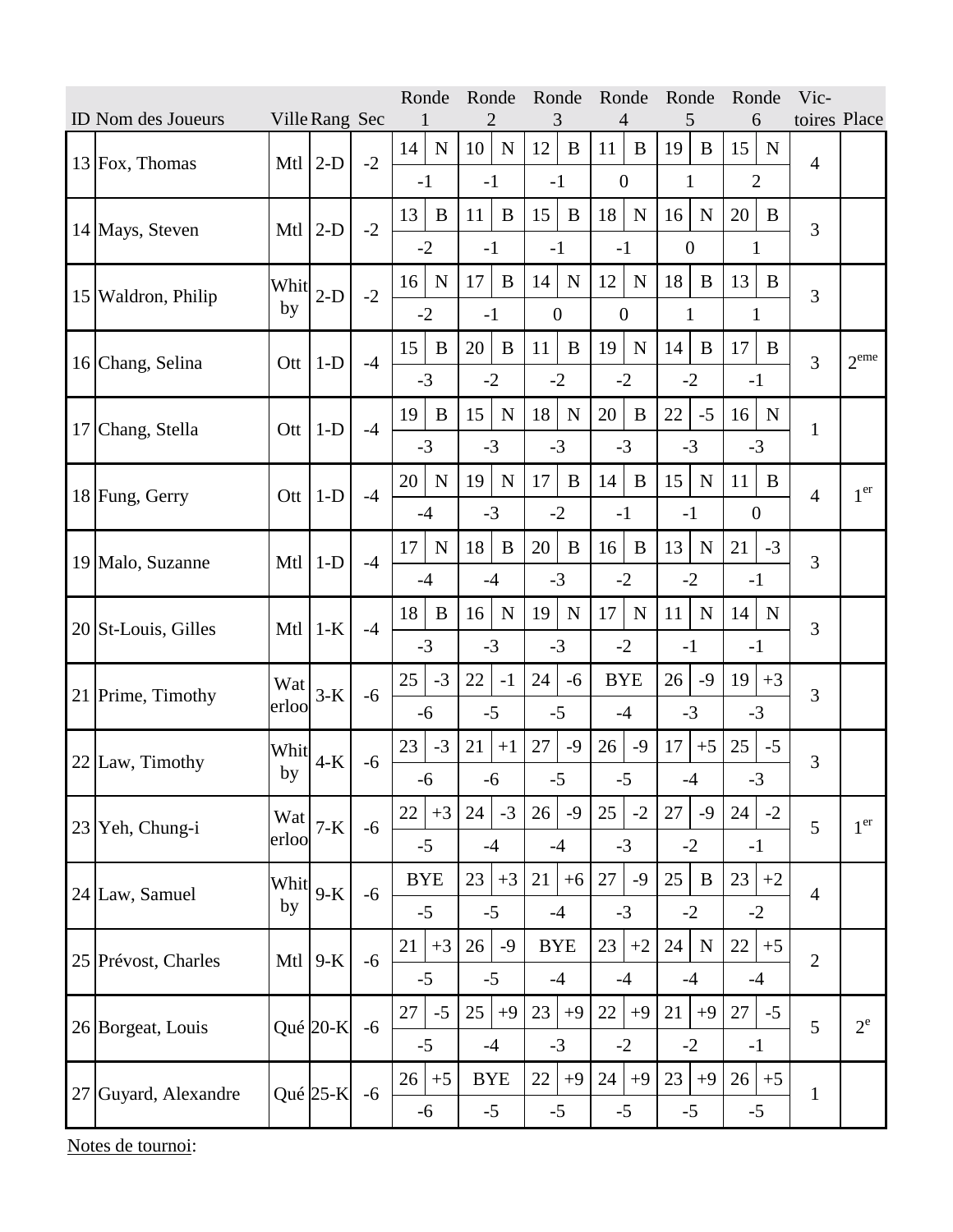|                                      |                      |              |            |      |            | Ronde          |            | Ronde        |                  | Ronde       |                  | Ronde       |                | Ronde        |                  | Ronde        | Vic-           |                  |
|--------------------------------------|----------------------|--------------|------------|------|------------|----------------|------------|--------------|------------------|-------------|------------------|-------------|----------------|--------------|------------------|--------------|----------------|------------------|
| ID Nom des Joueurs<br>Ville Rang Sec |                      |              |            |      |            |                |            | 3            |                  |             | 4                | 5           |                | 6            |                  | toires Place |                |                  |
|                                      | $13$ Fox, Thomas     | Mtl          | $2-D$      | $-2$ | 14         | $\mathbf N$    | 10         | $\mathbf N$  | 12               | B           | 11               | B           | 19             | B            | 15               | $\mathbf N$  | $\overline{4}$ |                  |
|                                      |                      |              |            |      | $-1$       |                | $-1$       |              | $-1$             |             | $\boldsymbol{0}$ |             | $\mathbf{1}$   |              | $\overline{2}$   |              |                |                  |
|                                      | 14 Mays, Steven      | Mtl          | $2-D$      | $-2$ | 13         | $\bf{B}$       | 11         | $\bf{B}$     | 15               | $\bf{B}$    | 18               | $\mathbf N$ | 16             | $\mathbf N$  | 20               | B            |                |                  |
|                                      |                      |              |            |      | $-2$       |                | $-1$       |              | $-1$             |             | $-1$             |             | $\overline{0}$ |              | 1                |              | 3              |                  |
|                                      |                      |              |            |      | 16         | $\mathbf N$    | 17         | $\bf{B}$     | 14               | $\mathbf N$ | 12               | $\mathbf N$ | 18             | B            | 13               | B            |                |                  |
|                                      | 15 Waldron, Philip   | Whit<br>by   | $2-D$      | $-2$ |            |                |            |              |                  |             |                  |             |                |              |                  |              | 3              |                  |
|                                      |                      |              |            |      |            | $-2$           | $-1$       |              | $\boldsymbol{0}$ |             | $\boldsymbol{0}$ |             | $\mathbf{1}$   |              | 1                |              |                |                  |
|                                      | 16 Chang, Selina     | Ott          | $1-D$      | $-4$ | 15         | B              | 20         | $\mathbf{B}$ | 11               | $\bf{B}$    | 19               | ${\bf N}$   | 14             | B            | 17               | B            | 3              | $2^{\text{eme}}$ |
|                                      |                      |              |            |      |            | $-3$           | $-2$       |              |                  | $-2$        |                  | $-2$        | $-2$           |              | $-1$             |              |                |                  |
|                                      | Chang, Stella        | Ott          | $1-D$      | $-4$ | 19         | $\overline{B}$ | 15         | $\mathbf N$  | 18               | $\mathbf N$ | 20               | $\bf{B}$    | 22             | $-5$         | 16               | $\mathbf N$  |                |                  |
| 17                                   |                      |              |            |      |            | $-3$           | $-3$       |              |                  | $-3$        | $-3$             |             | $-3$           |              | $-3$             |              | $\mathbf{1}$   |                  |
|                                      |                      |              |            |      | 20         | $\mathbf N$    | 19         | $\mathbf N$  | 17               | B           | 14               | B           | 15             | $\mathbf N$  | 11               | B            |                |                  |
|                                      | 18 Fung, Gerry       | Ott          | $1-D$      | $-4$ |            |                |            |              |                  |             |                  |             |                |              |                  |              | $\overline{4}$ | 1 <sup>er</sup>  |
|                                      |                      |              |            |      |            | $-4$           | $-3$       |              |                  | $-2$        | $-1$             |             | $-1$           |              | $\boldsymbol{0}$ |              |                |                  |
|                                      | 19 Malo, Suzanne     | Mtl          | $1-D$      | $-4$ | 17         | $\mathbf N$    | 18         | B            | 20               | B           | 16               | B           | 13             | N            | 21               | $-3$         | 3              |                  |
|                                      |                      |              |            |      |            | $-4$           | $-4$       |              |                  | $-3$        |                  | $-2$        | $-2$           |              | $-1$             |              |                |                  |
|                                      | 20 St-Louis, Gilles  | Mtl          | $1-K$      | $-4$ | 18         | B              | 16         | $\mathbf N$  | 19               | $\mathbf N$ | 17               | $\mathbf N$ | 11             | $\mathbf N$  | 14               | N            |                |                  |
|                                      |                      |              |            |      |            | $-3$           | $-3$       |              |                  | $-3$        |                  | $-2$        | $-1$           |              | $-1$             |              | 3              |                  |
|                                      | 21 Prime, Timothy    | Wat<br>erloo | $3-K$      | $-6$ | 25         | $-3$           | 22         | $-1$         | 24               | $-6$        | <b>BYE</b>       |             | 26             | $-9$         | 19               | $+3$         |                |                  |
|                                      |                      |              |            |      |            | $-6$           |            | $-5$         |                  | $-5$        |                  | $-4$        | $-3$           |              | $-3$             |              | 3              |                  |
|                                      |                      |              |            |      |            |                |            |              |                  |             |                  |             |                |              |                  |              |                |                  |
|                                      | 22 Law, Timothy      | Whit<br>by   | $4-K$      | $-6$ | $-3$<br>23 |                | 21<br>$+1$ |              | 27<br>$-9$       |             | 26<br>$-9$       |             | 17<br>$+5$     |              | 25               | $-5$         | 3              |                  |
|                                      |                      |              |            |      |            | $-6$           | $-6$       |              |                  | $-5$        |                  | $-5$        | $-4$           |              | $-3$             |              |                |                  |
|                                      | $23$ Yeh, Chung-i    | Wat<br>erloo | $7-K$      | $-6$ | 22         | $+3$           | 24         | $-3$         | 26               | $-9$        | 25               | $-2$        | 27             | $-9$         | 24               | $-2$         |                |                  |
|                                      |                      |              |            |      | $-5$       |                | $-4$       |              | $-4$             |             | $-3$             |             | $-2$           |              | $-1$             |              | 5              | 1 <sup>er</sup>  |
|                                      | 24 Law, Samuel       | Whit<br>by   | $9-K$      | $-6$ | <b>BYE</b> |                | 23         | $+3$         | 21               | $+6$        | 27               | $-9$        | 25             | $\mathbf{B}$ | 23               | $+2$         |                |                  |
|                                      |                      |              |            |      | $-5$       |                | $-5$       |              | $-4$             |             | $-3$             |             | $-2$           |              | $-2$             |              | $\overline{4}$ |                  |
|                                      |                      |              |            |      |            |                |            |              |                  |             |                  |             |                |              |                  |              |                |                  |
|                                      | 25 Prévost, Charles  | Mtl          | $9-K$      | $-6$ | 21         | $+3$           | 26         | $-9$         | <b>BYE</b>       |             | 23               | $+2$        | 24             | $\mathbf N$  | 22               | $+5$         | $\overline{2}$ |                  |
|                                      |                      |              |            |      |            | $-5$           | $-5$       |              |                  | $-4$        |                  | $-4$        | $-4$           |              | $-4$             |              |                |                  |
|                                      | 26 Borgeat, Louis    |              | Qué $20-K$ | $-6$ | 27         | $-5$           | 25         | $+9$         | 23               | $+9$        | 22               | $+9$        | 21             | $+9$         | 27               | $-5$         |                | $2^e$            |
|                                      |                      |              |            |      |            | $-5$           | $-4$       |              |                  | $-3$        |                  | $-2$        | $-2$           |              | $-1$             |              | 5              |                  |
|                                      | 27 Guyard, Alexandre |              | Qué $25-K$ | $-6$ | 26         | $+5$           | <b>BYE</b> |              | 22               | $+9$        | 24               | $+9$        | 23             | $+9$         | 26               | $+5$         |                |                  |
|                                      |                      |              |            |      |            | $-6$           | $-5$       |              |                  | $-5$        |                  | $-5$        |                | $-5$         | $-5$             |              | $\mathbf{1}$   |                  |
|                                      |                      |              |            |      |            |                |            |              |                  |             |                  |             |                |              |                  |              |                |                  |

Notes de tournoi: